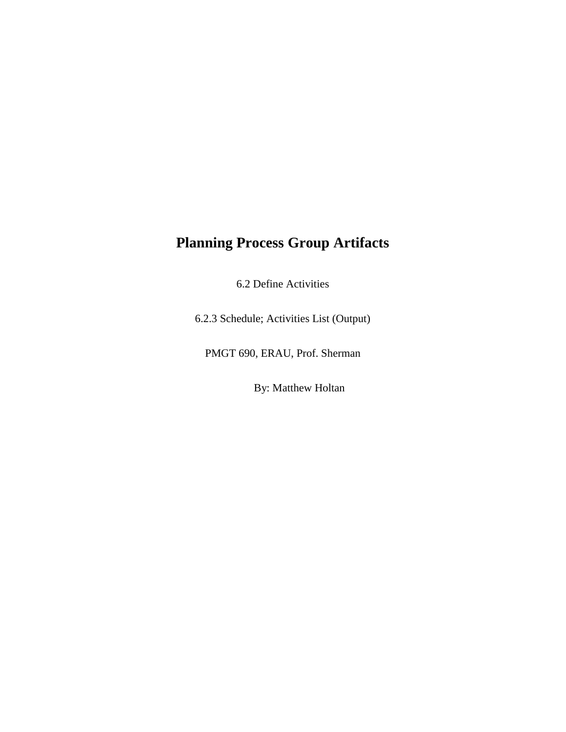## **Planning Process Group Artifacts**

6.2 Define Activities

6.2.3 Schedule; Activities List (Output)

PMGT 690, ERAU, Prof. Sherman

By: Matthew Holtan